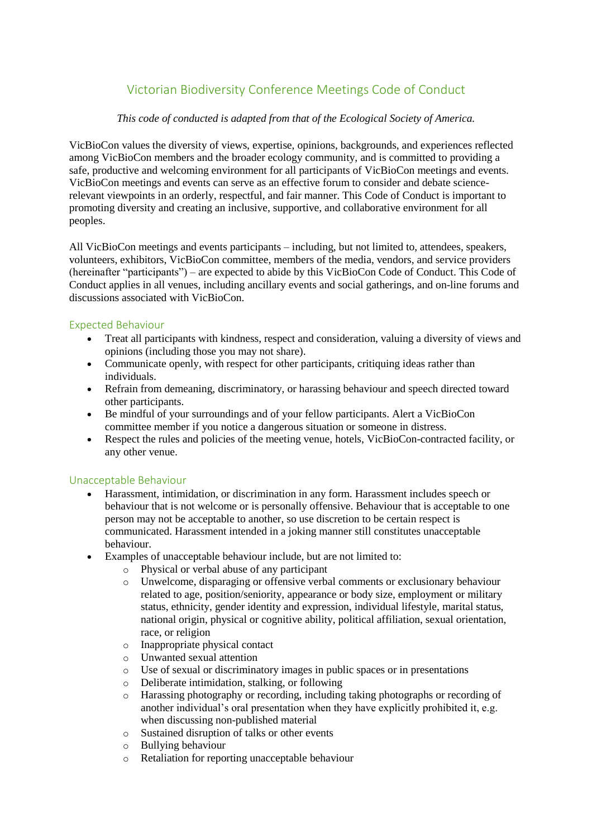# Victorian Biodiversity Conference Meetings Code of Conduct

## *This code of conducted is adapted from that of the Ecological Society of America.*

VicBioCon values the diversity of views, expertise, opinions, backgrounds, and experiences reflected among VicBioCon members and the broader ecology community, and is committed to providing a safe, productive and welcoming environment for all participants of VicBioCon meetings and events. VicBioCon meetings and events can serve as an effective forum to consider and debate sciencerelevant viewpoints in an orderly, respectful, and fair manner. This Code of Conduct is important to promoting diversity and creating an inclusive, supportive, and collaborative environment for all peoples.

All VicBioCon meetings and events participants – including, but not limited to, attendees, speakers, volunteers, exhibitors, VicBioCon committee, members of the media, vendors, and service providers (hereinafter "participants") – are expected to abide by this VicBioCon Code of Conduct. This Code of Conduct applies in all venues, including ancillary events and social gatherings, and on-line forums and discussions associated with VicBioCon.

## Expected Behaviour

- Treat all participants with kindness, respect and consideration, valuing a diversity of views and opinions (including those you may not share).
- Communicate openly, with respect for other participants, critiquing ideas rather than individuals.
- Refrain from demeaning, discriminatory, or harassing behaviour and speech directed toward other participants.
- Be mindful of your surroundings and of your fellow participants. Alert a VicBioCon committee member if you notice a dangerous situation or someone in distress.
- Respect the rules and policies of the meeting venue, hotels, VicBioCon-contracted facility, or any other venue.

### Unacceptable Behaviour

- Harassment, intimidation, or discrimination in any form. Harassment includes speech or behaviour that is not welcome or is personally offensive. Behaviour that is acceptable to one person may not be acceptable to another, so use discretion to be certain respect is communicated. Harassment intended in a joking manner still constitutes unacceptable behaviour.
- Examples of unacceptable behaviour include, but are not limited to:
	- o Physical or verbal abuse of any participant
	- o Unwelcome, disparaging or offensive verbal comments or exclusionary behaviour related to age, position/seniority, appearance or body size, employment or military status, ethnicity, gender identity and expression, individual lifestyle, marital status, national origin, physical or cognitive ability, political affiliation, sexual orientation, race, or religion
	- o Inappropriate physical contact
	- o Unwanted sexual attention
	- o Use of sexual or discriminatory images in public spaces or in presentations
	- o Deliberate intimidation, stalking, or following
	- o Harassing photography or recording, including taking photographs or recording of another individual's oral presentation when they have explicitly prohibited it, e.g. when discussing non-published material
	- o Sustained disruption of talks or other events
	- o Bullying behaviour
	- o Retaliation for reporting unacceptable behaviour